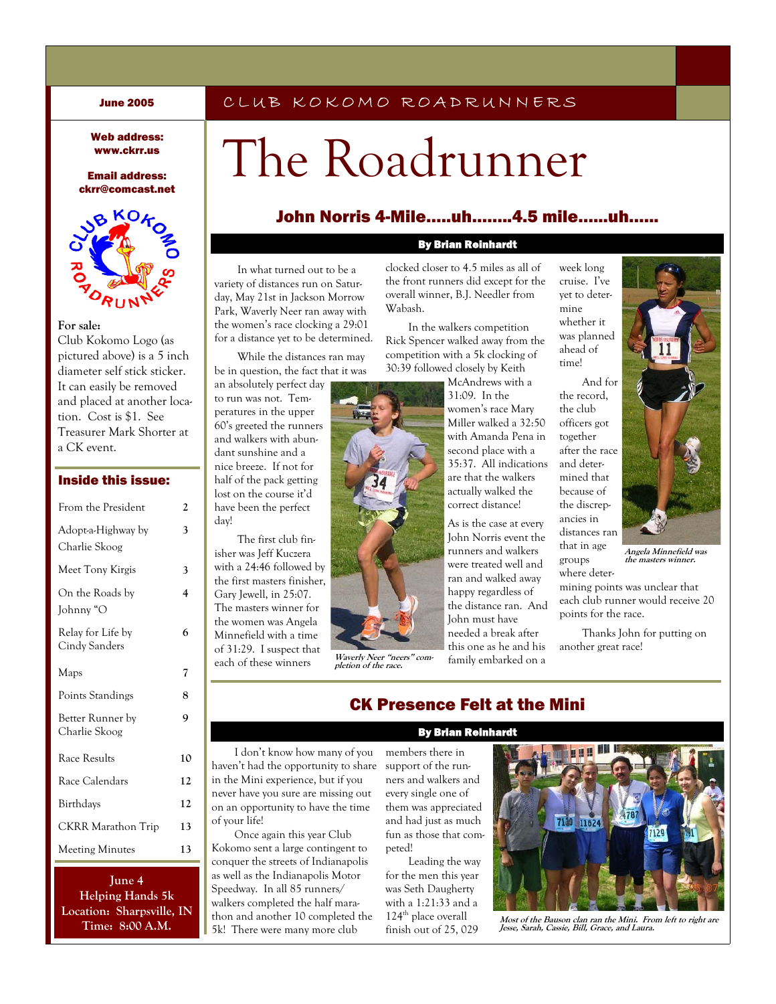### CLUB KOKOMO ROADRUNNERS

#### Web address: www.ckrr.us

Email address: ckrr@comcast.net



#### **For sale:**

Club Kokomo Logo (as pictured above) is a 5 inch diameter self stick sticker. It can easily be removed and placed at another location. Cost is \$1. See Treasurer Mark Shorter at a CK event.

| <b>Inside this issue:</b> |  |
|---------------------------|--|
| Erom the President        |  |

| і гоні піс і гемасит                | ↵  |
|-------------------------------------|----|
| Adopt-a-Highway by<br>Charlie Skoog | 3  |
| Meet Tony Kirgis                    | 3  |
| On the Roads by<br>Johnny "O        | 4  |
| Relay for Life by<br>Cindy Sanders  | 6  |
| Maps                                | 7  |
| Points Standings                    | 8  |
| Better Runner by<br>Charlie Skoog   | 9  |
| Race Results                        | 10 |
| Race Calendars                      | 12 |
| Birthdays                           | 12 |
| <b>CKRR Marathon Trip</b>           | 13 |
| <b>Meeting Minutes</b>              | 13 |

**June 4 Helping Hands 5k Location: Sharpsville, IN Time: 8:00 A.M.** 

# The Roadrunner

### John Norris 4-Mile…..uh……..4.5 mile…...uh…...

#### By Brian Reinhardt

In what turned out to be a variety of distances run on Saturday, May 21st in Jackson Morrow Park, Waverly Neer ran away with the women's race clocking a 29:01 clocked closer to 4.5 miles as all of the front runners did except for the overall winner, B.J. Needler from Wabash.

In the walkers competition Rick Spencer walked away from the competition with a 5k clocking of 30:39 followed closely by Keith

> McAndrews with a 31:09. In the women's race Mary Miller walked a 32:50 with Amanda Pena in second place with a 35:37. All indications are that the walkers actually walked the correct distance!

> As is the case at every John Norris event the runners and walkers were treated well and ran and walked away happy regardless of the distance ran. And John must have needed a break after this one as he and his family embarked on a

yet to determine whether it was planned ahead of time! And for

week long cruise. I've

the record, the club officers got together after the race and determined that because of the discrepancies in distances ran that in age

groups where deter-

**Angela Minnefield was the masters winner.** 

mining points was unclear that each club runner would receive 20 points for the race.

Thanks John for putting on another great race!

# CK Presence Felt at the Mini By Brian Reinhardt

**Waverly Neer "neers" completion of the race.** 

I don't know how many of you haven't had the opportunity to share support of the runin the Mini experience, but if you never have you sure are missing out on an opportunity to have the time of your life!

for a distance yet to be determined. While the distances ran may be in question, the fact that it was an absolutely perfect day to run was not. Temperatures in the upper 60's greeted the runners and walkers with abundant sunshine and a nice breeze. If not for half of the pack getting lost on the course it'd have been the perfect

day!

The first club finisher was Jeff Kuczera with a 24:46 followed by the first masters finisher, Gary Jewell, in 25:07. The masters winner for the women was Angela Minnefield with a time of 31:29. I suspect that each of these winners

Once again this year Club Kokomo sent a large contingent to conquer the streets of Indianapolis as well as the Indianapolis Motor Speedway. In all 85 runners/ walkers completed the half marathon and another 10 completed the 5k! There were many more club

members there in ners and walkers and every single one of them was appreciated and had just as much fun as those that competed!

Leading the way for the men this year was Seth Daugherty with a 1:21:33 and a 124th place overall finish out of 25, 029



**Most of the Bauson clan ran the Mini. From left to right are Jesse, Sarah, Cassie, Bill, Grace, and Laura.**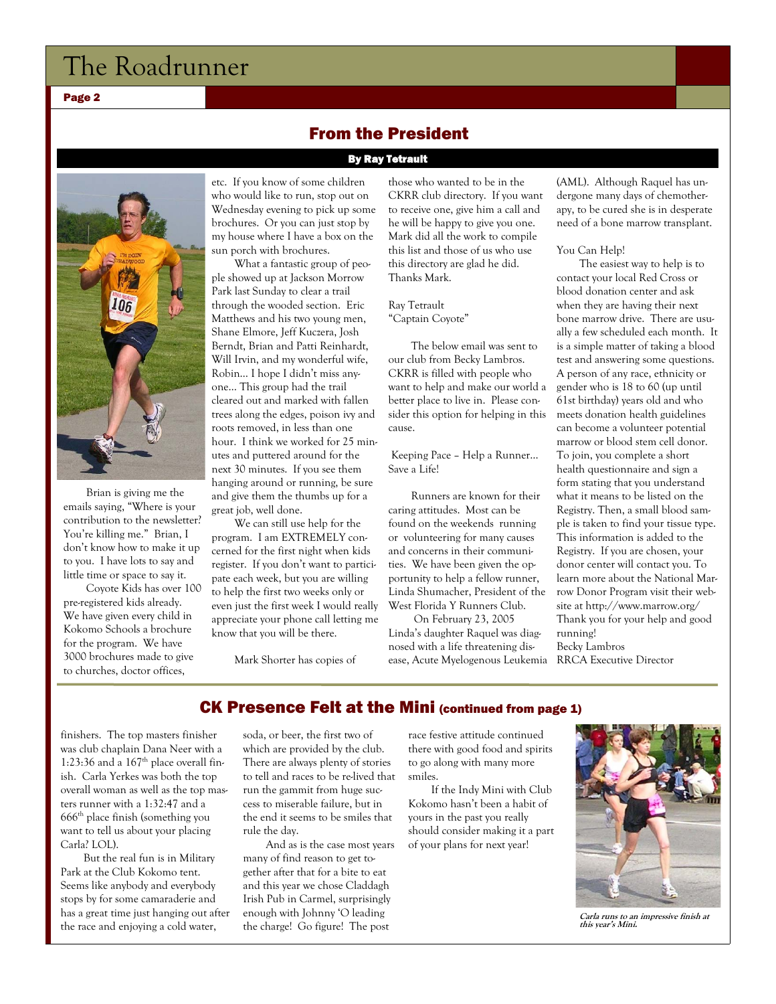Page 2

Brian is giving me the emails saying, "Where is your contribution to the newsletter? You're killing me." Brian, I don't know how to make it up to you. I have lots to say and little time or space to say it.

Coyote Kids has over 100 pre-registered kids already. We have given every child in Kokomo Schools a brochure for the program. We have 3000 brochures made to give to churches, doctor offices,

etc. If you know of some children who would like to run, stop out on Wednesday evening to pick up some brochures. Or you can just stop by my house where I have a box on the sun porch with brochures.

What a fantastic group of people showed up at Jackson Morrow Park last Sunday to clear a trail through the wooded section. Eric Matthews and his two young men, Shane Elmore, Jeff Kuczera, Josh Berndt, Brian and Patti Reinhardt, Will Irvin, and my wonderful wife, Robin… I hope I didn't miss anyone… This group had the trail cleared out and marked with fallen trees along the edges, poison ivy and roots removed, in less than one hour. I think we worked for 25 minutes and puttered around for the next 30 minutes. If you see them hanging around or running, be sure and give them the thumbs up for a great job, well done.

We can still use help for the program. I am EXTREMELY concerned for the first night when kids register. If you don't want to participate each week, but you are willing to help the first two weeks only or even just the first week I would really appreciate your phone call letting me know that you will be there.

Mark Shorter has copies of

those who wanted to be in the CKRR club directory. If you want to receive one, give him a call and he will be happy to give you one. Mark did all the work to compile this list and those of us who use this directory are glad he did. Thanks Mark.

Ray Tetrault "Captain Coyote"

From the President

By Ray Tetrault

The below email was sent to our club from Becky Lambros. CKRR is filled with people who want to help and make our world a better place to live in. Please consider this option for helping in this cause.

 Keeping Pace – Help a Runner… Save a Life!

Runners are known for their caring attitudes. Most can be found on the weekends running or volunteering for many causes and concerns in their communities. We have been given the opportunity to help a fellow runner, Linda Shumacher, President of the West Florida Y Runners Club.

 On February 23, 2005 Linda's daughter Raquel was diagnosed with a life threatening disease, Acute Myelogenous Leukemia RRCA Executive Director

(AML). Although Raquel has undergone many days of chemotherapy, to be cured she is in desperate need of a bone marrow transplant.

#### You Can Help!

The easiest way to help is to contact your local Red Cross or blood donation center and ask when they are having their next bone marrow drive. There are usually a few scheduled each month. It is a simple matter of taking a blood test and answering some questions. A person of any race, ethnicity or gender who is 18 to 60 (up until 61st birthday) years old and who meets donation health guidelines can become a volunteer potential marrow or blood stem cell donor. To join, you complete a short health questionnaire and sign a form stating that you understand what it means to be listed on the Registry. Then, a small blood sample is taken to find your tissue type. This information is added to the Registry. If you are chosen, your donor center will contact you. To learn more about the National Marrow Donor Program visit their website at http://www.marrow.org/ Thank you for your help and good running! Becky Lambros

### CK Presence Felt at the Mini (continued from page 1)

finishers. The top masters finisher was club chaplain Dana Neer with a 1:23:36 and a  $167<sup>th</sup>$  place overall finish. Carla Yerkes was both the top overall woman as well as the top masters runner with a 1:32:47 and a  $666<sup>th</sup>$  place finish (something you want to tell us about your placing Carla? LOL).

But the real fun is in Military Park at the Club Kokomo tent. Seems like anybody and everybody stops by for some camaraderie and has a great time just hanging out after the race and enjoying a cold water,

soda, or beer, the first two of which are provided by the club. There are always plenty of stories to tell and races to be re-lived that run the gammit from huge success to miserable failure, but in the end it seems to be smiles that rule the day.

And as is the case most years many of find reason to get together after that for a bite to eat and this year we chose Claddagh Irish Pub in Carmel, surprisingly enough with Johnny 'O leading the charge! Go figure! The post

race festive attitude continued there with good food and spirits to go along with many more smiles.

If the Indy Mini with Club Kokomo hasn't been a habit of yours in the past you really should consider making it a part of your plans for next year!



**Carla runs to an impressive finish at this year's Mini.**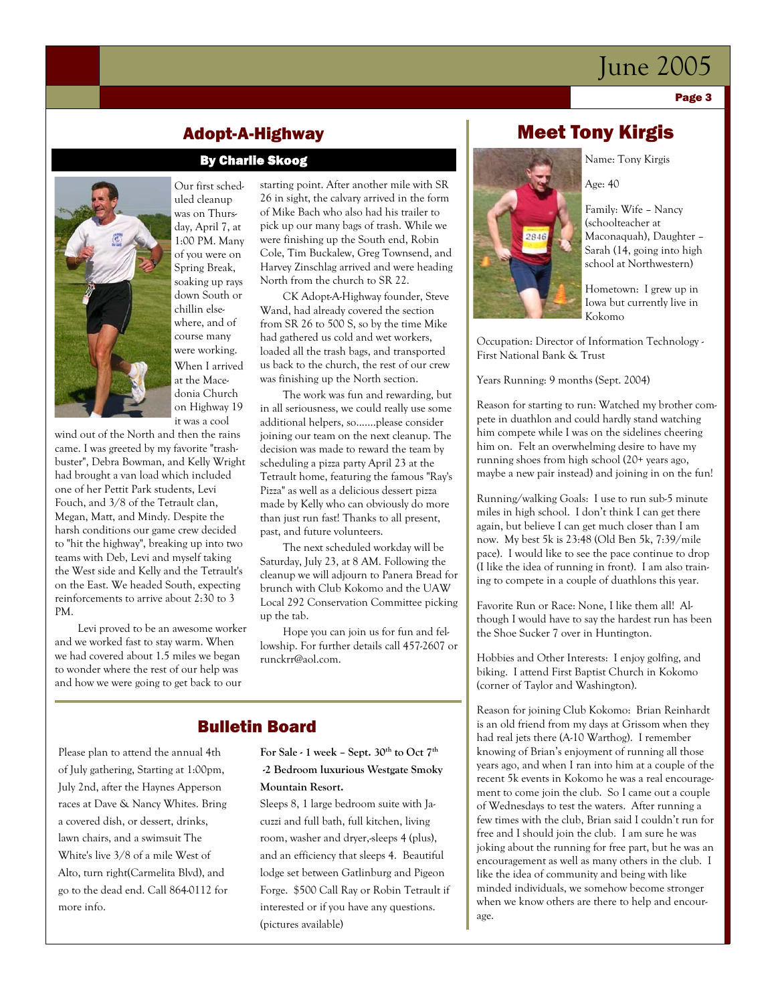Page 3



Our first scheduled cleanup was on Thursday, April 7, at 1:00 PM. Many of you were on Spring Break, soaking up rays down South or chillin elsewhere, and of course many were working. When I arrived at the Macedonia Church on Highway 19 it was a cool

Adopt-A-Highway

By Charlie Skoog

wind out of the North and then the rains came. I was greeted by my favorite "trashbuster", Debra Bowman, and Kelly Wright had brought a van load which included one of her Pettit Park students, Levi Fouch, and 3/8 of the Tetrault clan, Megan, Matt, and Mindy. Despite the harsh conditions our game crew decided to "hit the highway", breaking up into two teams with Deb, Levi and myself taking the West side and Kelly and the Tetrault's on the East. We headed South, expecting reinforcements to arrive about 2:30 to 3 PM.

Levi proved to be an awesome worker and we worked fast to stay warm. When we had covered about 1.5 miles we began to wonder where the rest of our help was and how we were going to get back to our

starting point. After another mile with SR 26 in sight, the calvary arrived in the form of Mike Bach who also had his trailer to pick up our many bags of trash. While we were finishing up the South end, Robin Cole, Tim Buckalew, Greg Townsend, and Harvey Zinschlag arrived and were heading North from the church to SR 22.

CK Adopt-A-Highway founder, Steve Wand, had already covered the section from SR 26 to 500 S, so by the time Mike had gathered us cold and wet workers, loaded all the trash bags, and transported us back to the church, the rest of our crew was finishing up the North section.

The work was fun and rewarding, but in all seriousness, we could really use some additional helpers, so.......please consider joining our team on the next cleanup. The decision was made to reward the team by scheduling a pizza party April 23 at the Tetrault home, featuring the famous "Ray's Pizza" as well as a delicious dessert pizza made by Kelly who can obviously do more than just run fast! Thanks to all present, past, and future volunteers.

The next scheduled workday will be Saturday, July 23, at 8 AM. Following the cleanup we will adjourn to Panera Bread for brunch with Club Kokomo and the UAW Local 292 Conservation Committee picking up the tab.

Hope you can join us for fun and fellowship. For further details call 457-2607 or runckrr@aol.com.

### Bulletin Board

Please plan to attend the annual 4th of July gathering, Starting at 1:00pm, July 2nd, after the Haynes Apperson races at Dave & Nancy Whites. Bring a covered dish, or dessert, drinks, lawn chairs, and a swimsuit The White's live 3/8 of a mile West of Alto, turn right(Carmelita Blvd), and go to the dead end. Call 864-0112 for more info.

### For Sale - 1 week - Sept. 30<sup>th</sup> to Oct 7<sup>th</sup>  **-2 Bedroom luxurious Westgate Smoky Mountain Resort.**

Sleeps 8, 1 large bedroom suite with Jacuzzi and full bath, full kitchen, living room, washer and dryer,-sleeps 4 (plus), and an efficiency that sleeps 4. Beautiful lodge set between Gatlinburg and Pigeon Forge. \$500 Call Ray or Robin Tetrault if interested or if you have any questions. (pictures available)

# Meet Tony Kirgis

Name: Tony Kirgis

Age: 40 Family: Wife – Nancy (schoolteacher at

Maconaquah), Daughter – Sarah (14, going into high school at Northwestern)

Hometown: I grew up in Iowa but currently live in Kokomo

Occupation: Director of Information Technology - First National Bank & Trust

Years Running: 9 months (Sept. 2004)

Reason for starting to run: Watched my brother compete in duathlon and could hardly stand watching him compete while I was on the sidelines cheering him on. Felt an overwhelming desire to have my running shoes from high school (20+ years ago, maybe a new pair instead) and joining in on the fun!

Running/walking Goals: I use to run sub-5 minute miles in high school. I don't think I can get there again, but believe I can get much closer than I am now. My best 5k is 23:48 (Old Ben 5k, 7:39/mile pace). I would like to see the pace continue to drop (I like the idea of running in front). I am also training to compete in a couple of duathlons this year.

Favorite Run or Race: None, I like them all! Although I would have to say the hardest run has been the Shoe Sucker 7 over in Huntington.

Hobbies and Other Interests: I enjoy golfing, and biking. I attend First Baptist Church in Kokomo (corner of Taylor and Washington).

Reason for joining Club Kokomo: Brian Reinhardt is an old friend from my days at Grissom when they had real jets there (A-10 Warthog). I remember knowing of Brian's enjoyment of running all those years ago, and when I ran into him at a couple of the recent 5k events in Kokomo he was a real encouragement to come join the club. So I came out a couple of Wednesdays to test the waters. After running a few times with the club, Brian said I couldn't run for free and I should join the club. I am sure he was joking about the running for free part, but he was an encouragement as well as many others in the club. I like the idea of community and being with like minded individuals, we somehow become stronger when we know others are there to help and encourage.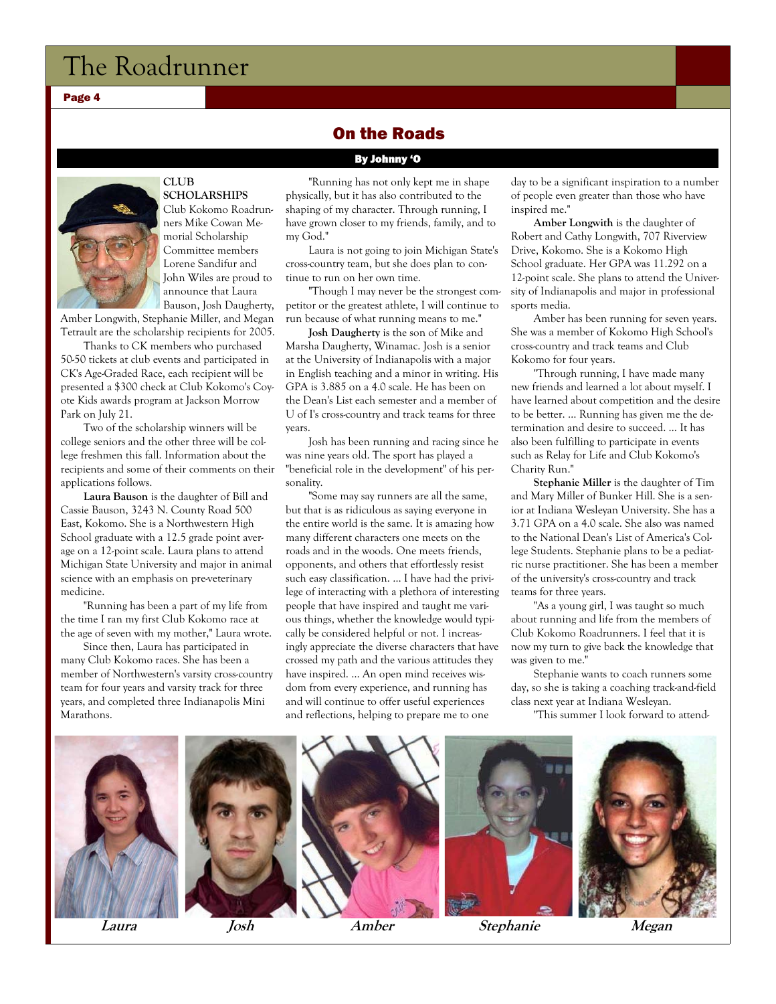Page 4

### On the Roads

By Johnny 'O



#### **CLUB SCHOLARSHIPS**

Club Kokomo Roadrunners Mike Cowan Memorial Scholarship Committee members Lorene Sandifur and John Wiles are proud to announce that Laura Bauson, Josh Daugherty,

Amber Longwith, Stephanie Miller, and Megan Tetrault are the scholarship recipients for 2005.

Thanks to CK members who purchased 50-50 tickets at club events and participated in CK's Age-Graded Race, each recipient will be presented a \$300 check at Club Kokomo's Coyote Kids awards program at Jackson Morrow Park on July 21.

Two of the scholarship winners will be college seniors and the other three will be college freshmen this fall. Information about the recipients and some of their comments on their applications follows.

**Laura Bauson** is the daughter of Bill and Cassie Bauson, 3243 N. County Road 500 East, Kokomo. She is a Northwestern High School graduate with a 12.5 grade point average on a 12-point scale. Laura plans to attend Michigan State University and major in animal science with an emphasis on pre-veterinary medicine.

"Running has been a part of my life from the time I ran my first Club Kokomo race at the age of seven with my mother," Laura wrote.

Since then, Laura has participated in many Club Kokomo races. She has been a member of Northwestern's varsity cross-country team for four years and varsity track for three years, and completed three Indianapolis Mini Marathons.

"Running has not only kept me in shape physically, but it has also contributed to the shaping of my character. Through running, I have grown closer to my friends, family, and to my God."

Laura is not going to join Michigan State's cross-country team, but she does plan to continue to run on her own time.

"Though I may never be the strongest competitor or the greatest athlete, I will continue to run because of what running means to me."

**Josh Daugherty** is the son of Mike and Marsha Daugherty, Winamac. Josh is a senior at the University of Indianapolis with a major in English teaching and a minor in writing. His GPA is 3.885 on a 4.0 scale. He has been on the Dean's List each semester and a member of U of I's cross-country and track teams for three years.

Josh has been running and racing since he was nine years old. The sport has played a "beneficial role in the development" of his personality.

"Some may say runners are all the same, but that is as ridiculous as saying everyone in the entire world is the same. It is amazing how many different characters one meets on the roads and in the woods. One meets friends, opponents, and others that effortlessly resist such easy classification. … I have had the privilege of interacting with a plethora of interesting people that have inspired and taught me various things, whether the knowledge would typically be considered helpful or not. I increasingly appreciate the diverse characters that have crossed my path and the various attitudes they have inspired. … An open mind receives wisdom from every experience, and running has and will continue to offer useful experiences and reflections, helping to prepare me to one

day to be a significant inspiration to a number of people even greater than those who have inspired me."

**Amber Longwith** is the daughter of Robert and Cathy Longwith, 707 Riverview Drive, Kokomo. She is a Kokomo High School graduate. Her GPA was 11.292 on a 12-point scale. She plans to attend the University of Indianapolis and major in professional sports media.

Amber has been running for seven years. She was a member of Kokomo High School's cross-country and track teams and Club Kokomo for four years.

"Through running, I have made many new friends and learned a lot about myself. I have learned about competition and the desire to be better. … Running has given me the determination and desire to succeed. … It has also been fulfilling to participate in events such as Relay for Life and Club Kokomo's Charity Run."

**Stephanie Miller** is the daughter of Tim and Mary Miller of Bunker Hill. She is a senior at Indiana Wesleyan University. She has a 3.71 GPA on a 4.0 scale. She also was named to the National Dean's List of America's College Students. Stephanie plans to be a pediatric nurse practitioner. She has been a member of the university's cross-country and track teams for three years.

"As a young girl, I was taught so much about running and life from the members of Club Kokomo Roadrunners. I feel that it is now my turn to give back the knowledge that was given to me."

Stephanie wants to coach runners some day, so she is taking a coaching track-and-field class next year at Indiana Wesleyan.

"This summer I look forward to attend-

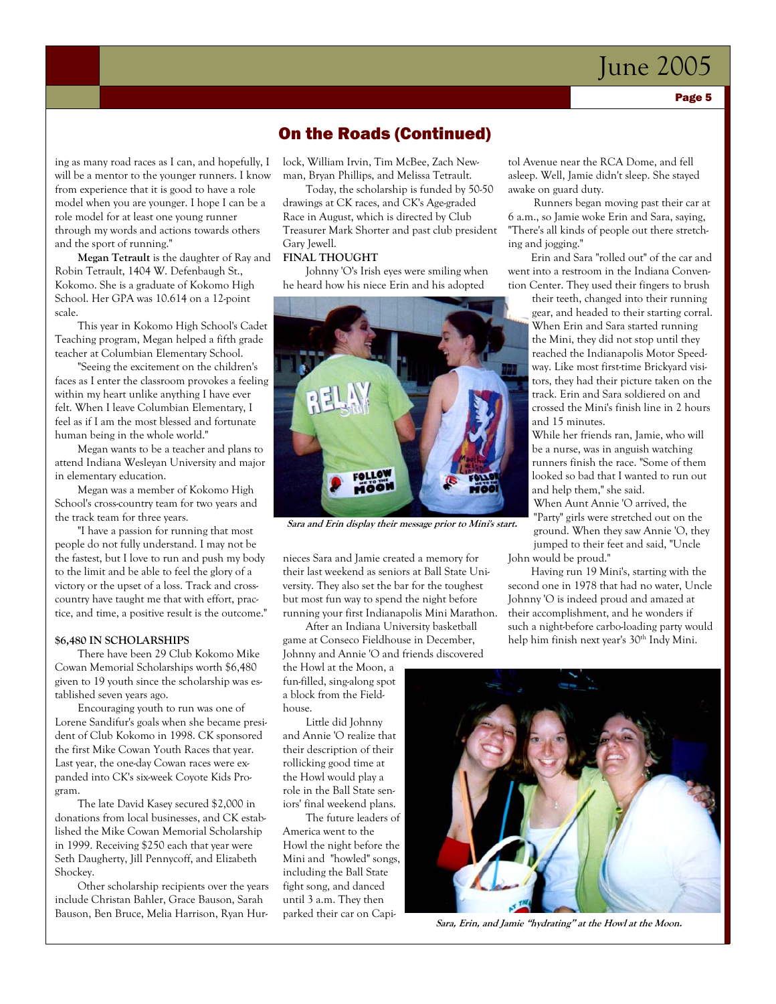ing as many road races as I can, and hopefully, I will be a mentor to the younger runners. I know from experience that it is good to have a role model when you are younger. I hope I can be a role model for at least one young runner through my words and actions towards others and the sport of running."

**Megan Tetrault** is the daughter of Ray and Robin Tetrault, 1404 W. Defenbaugh St., Kokomo. She is a graduate of Kokomo High School. Her GPA was 10.614 on a 12-point scale.

This year in Kokomo High School's Cadet Teaching program, Megan helped a fifth grade teacher at Columbian Elementary School.

"Seeing the excitement on the children's faces as I enter the classroom provokes a feeling within my heart unlike anything I have ever felt. When I leave Columbian Elementary, I feel as if I am the most blessed and fortunate human being in the whole world."

Megan wants to be a teacher and plans to attend Indiana Wesleyan University and major in elementary education.

Megan was a member of Kokomo High School's cross-country team for two years and the track team for three years.

"I have a passion for running that most people do not fully understand. I may not be the fastest, but I love to run and push my body to the limit and be able to feel the glory of a victory or the upset of a loss. Track and crosscountry have taught me that with effort, practice, and time, a positive result is the outcome."

#### **\$6,480 IN SCHOLARSHIPS**

There have been 29 Club Kokomo Mike Cowan Memorial Scholarships worth \$6,480 given to 19 youth since the scholarship was established seven years ago.

Encouraging youth to run was one of Lorene Sandifur's goals when she became president of Club Kokomo in 1998. CK sponsored the first Mike Cowan Youth Races that year. Last year, the one-day Cowan races were expanded into CK's six-week Coyote Kids Program.

The late David Kasey secured \$2,000 in donations from local businesses, and CK established the Mike Cowan Memorial Scholarship in 1999. Receiving \$250 each that year were Seth Daugherty, Jill Pennycoff, and Elizabeth Shockey.

Other scholarship recipients over the years include Christan Bahler, Grace Bauson, Sarah Bauson, Ben Bruce, Melia Harrison, Ryan Hur-

### On the Roads (Continued)

lock, William Irvin, Tim McBee, Zach Newman, Bryan Phillips, and Melissa Tetrault.

Today, the scholarship is funded by 50-50 drawings at CK races, and CK's Age-graded Race in August, which is directed by Club Treasurer Mark Shorter and past club president Gary Jewell.

#### **FINAL THOUGHT**

Johnny 'O's Irish eyes were smiling when he heard how his niece Erin and his adopted



**Sara and Erin display their message prior to Mini's start.** 

nieces Sara and Jamie created a memory for their last weekend as seniors at Ball State University. They also set the bar for the toughest but most fun way to spend the night before running your first Indianapolis Mini Marathon.

After an Indiana University basketball game at Conseco Fieldhouse in December, Johnny and Annie 'O and friends discovered

the Howl at the Moon, a fun-filled, sing-along spot a block from the Fieldhouse.

Little did Johnny and Annie 'O realize that their description of their rollicking good time at the Howl would play a role in the Ball State seniors' final weekend plans.

The future leaders of America went to the Howl the night before the Mini and "howled" songs, including the Ball State fight song, and danced until 3 a.m. They then parked their car on Capi-

tol Avenue near the RCA Dome, and fell asleep. Well, Jamie didn't sleep. She stayed awake on guard duty.

 Runners began moving past their car at 6 a.m., so Jamie woke Erin and Sara, saying, "There's all kinds of people out there stretching and jogging."

Erin and Sara "rolled out" of the car and went into a restroom in the Indiana Convention Center. They used their fingers to brush

their teeth, changed into their running gear, and headed to their starting corral. When Erin and Sara started running the Mini, they did not stop until they reached the Indianapolis Motor Speedway. Like most first-time Brickyard visitors, they had their picture taken on the track. Erin and Sara soldiered on and crossed the Mini's finish line in 2 hours and 15 minutes.

While her friends ran, Jamie, who will be a nurse, was in anguish watching runners finish the race. "Some of them looked so bad that I wanted to run out and help them," she said.

When Aunt Annie 'O arrived, the "Party" girls were stretched out on the ground. When they saw Annie 'O, they jumped to their feet and said, "Uncle John would be proud."

Having run 19 Mini's, starting with the second one in 1978 that had no water, Uncle Johnny 'O is indeed proud and amazed at their accomplishment, and he wonders if such a night-before carbo-loading party would help him finish next year's 30<sup>th</sup> Indy Mini.



**Sara, Erin, and Jamie "hydrating" at the Howl at the Moon.**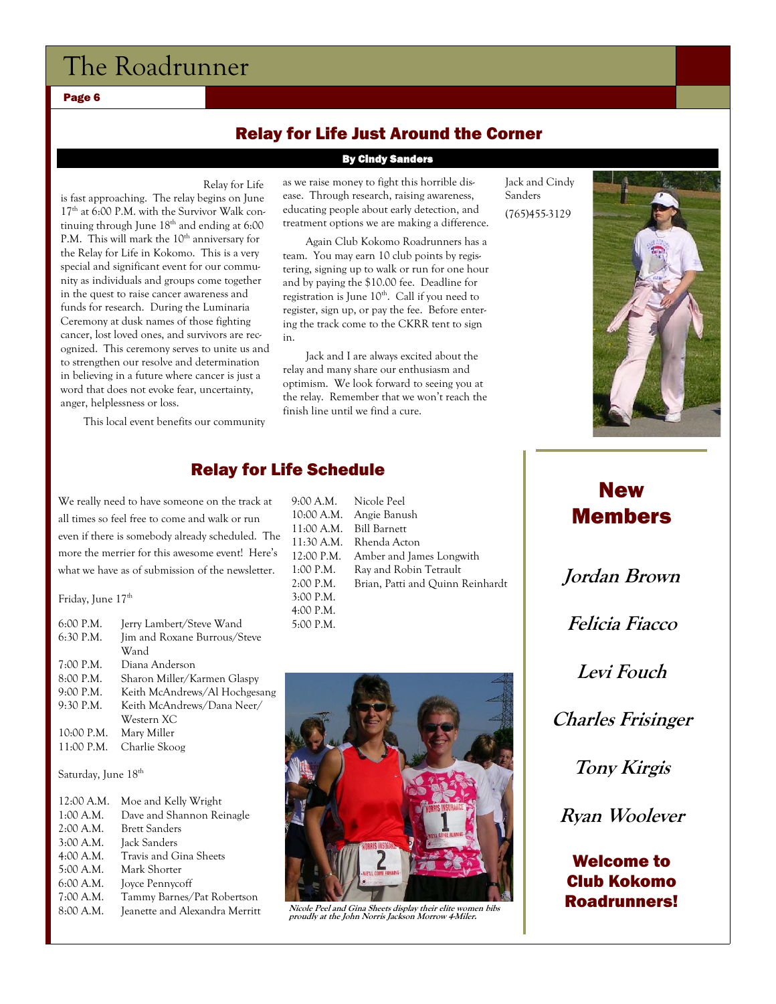Page 6

# Relay for Life Just Around the Corner

#### By Cindy Sanders

Relay for Life

is fast approaching. The relay begins on June  $17<sup>th</sup>$  at 6:00 P.M. with the Survivor Walk continuing through June  $18<sup>th</sup>$  and ending at 6:00 P.M. This will mark the  $10^{th}$  anniversary for the Relay for Life in Kokomo. This is a very special and significant event for our community as individuals and groups come together in the quest to raise cancer awareness and funds for research. During the Luminaria Ceremony at dusk names of those fighting cancer, lost loved ones, and survivors are recognized. This ceremony serves to unite us and to strengthen our resolve and determination in believing in a future where cancer is just a word that does not evoke fear, uncertainty, anger, helplessness or loss.

This local event benefits our community

as we raise money to fight this horrible disease. Through research, raising awareness, educating people about early detection, and treatment options we are making a difference.

Again Club Kokomo Roadrunners has a team. You may earn 10 club points by registering, signing up to walk or run for one hour and by paying the \$10.00 fee. Deadline for registration is June 10<sup>th</sup>. Call if you need to register, sign up, or pay the fee. Before entering the track come to the CKRR tent to sign in.

Jack and I are always excited about the relay and many share our enthusiasm and optimism. We look forward to seeing you at the relay. Remember that we won't reach the finish line until we find a cure.

Jack and Cindy Sanders (765)455-3129



### Relay for Life Schedule

We really need to have someone on the track at all times so feel free to come and walk or run even if there is somebody already scheduled. The more the merrier for this awesome event! Here's what we have as of submission of the newsletter.

Friday, June 17<sup>th</sup>

| 6:00 P.M.   | Jerry Lambert/Steve Wand      |
|-------------|-------------------------------|
| $6:30$ P.M. | Jim and Roxane Burrous/Steve  |
|             | Wand                          |
| 7:00 P.M.   | Diana Anderson                |
| 8:00 P.M.   | Sharon Miller/Karmen Glaspy   |
| 9:00 P.M.   | Keith McAndrews/Al Hochgesang |
| 9:30 P.M.   | Keith McAndrews/Dana Neer/    |
|             | Western XC                    |
| 10:00 P.M.  | Mary Miller                   |
| 11:00 P.M.  | Charlie Skoog                 |
|             |                               |

Saturday, June 18th

| 12:00 A.M. | Moe and Kelly Wright           |
|------------|--------------------------------|
| 1:00 A.M.  | Dave and Shannon Reinagle      |
| 2:00 A.M.  | <b>Brett Sanders</b>           |
| 3:00 A.M.  | Jack Sanders                   |
| 4:00 A.M.  | Travis and Gina Sheets         |
| 5:00 A.M.  | Mark Shorter                   |
| 6:00 A.M.  | Joyce Pennycoff                |
| 7:00 A.M.  | Tammy Barnes/Pat Robertson     |
| 8:00 A.M.  | Jeanette and Alexandra Merritt |





# New Members

**Jordan Brown Felicia Fiacco** 

**Levi Fouch** 

**Charles Frisinger** 

**Tony Kirgis** 

**Ryan Woolever** 

# Welcome to Club Kokomo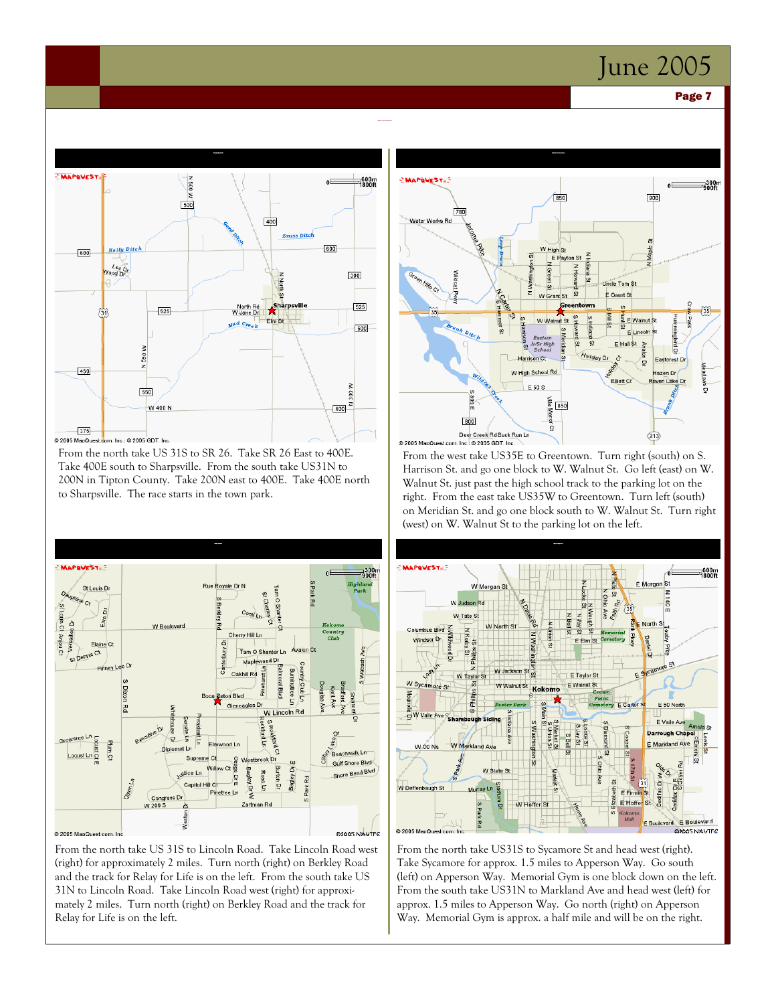#### Page 7



© 2005 MapQu

From the north take US 31S to SR 26. Take SR 26 East to 400E. Take 400E south to Sharpsville. From the south take US31N to 200N in Tipton County. Take 200N east to 400E. Take 400E north to Sharpsville. The race starts in the town park.



From the north take US 31S to Lincoln Road. Take Lincoln Road west (right) for approximately 2 miles. Turn north (right) on Berkley Road and the track for Relay for Life is on the left. From the south take US 31N to Lincoln Road. Take Lincoln Road west (right) for approximately 2 miles. Turn north (right) on Berkley Road and the track for Relay for Life is on the left.



From the west take US35E to Greentown. Turn right (south) on S. Harrison St. and go one block to W. Walnut St. Go left (east) on W. Walnut St. just past the high school track to the parking lot on the right. From the east take US35W to Greentown. Turn left (south) on Meridian St. and go one block south to W. Walnut St. Turn right (west) on W. Walnut St to the parking lot on the left.



From the north take US31S to Sycamore St and head west (right). Take Sycamore for approx. 1.5 miles to Apperson Way. Go south (left) on Apperson Way. Memorial Gym is one block down on the left. From the south take US31N to Markland Ave and head west (left) for approx. 1.5 miles to Apperson Way. Go north (right) on Apperson Way. Memorial Gym is approx. a half mile and will be on the right.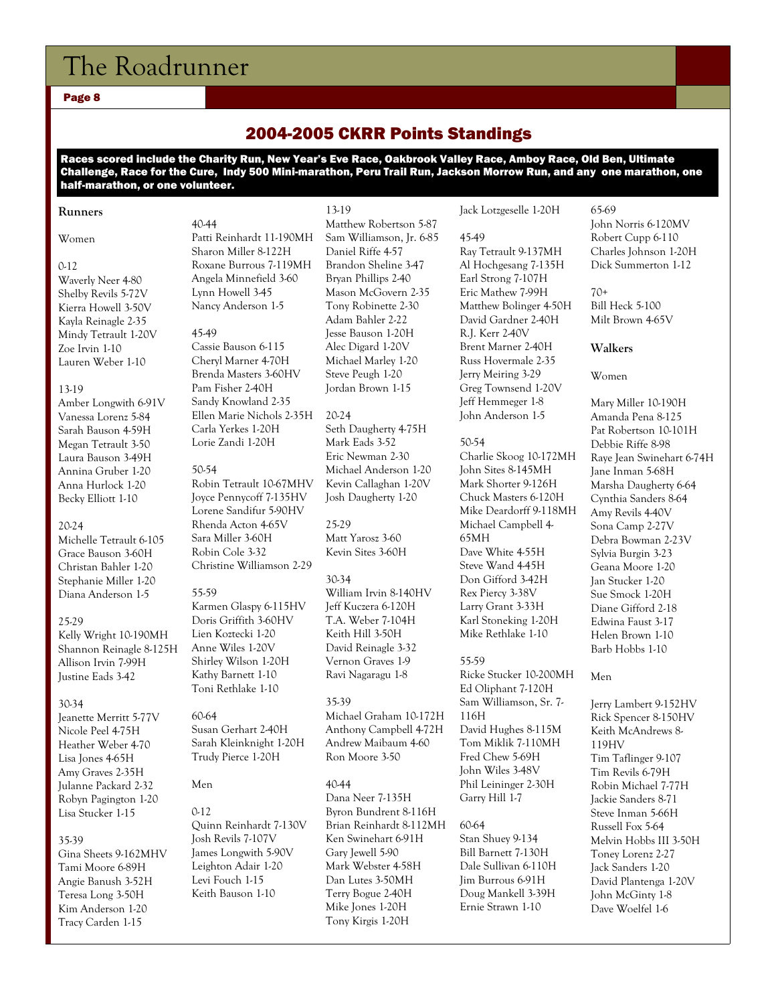#### Page 8

# 2004-2005 CKRR Points Standings

Races scored include the Charity Run, New Year's Eve Race, Oakbrook Valley Race, Amboy Race, Old Ben, Ultimate Challenge, Race for the Cure, Indy 500 Mini-marathon, Peru Trail Run, Jackson Morrow Run, and any one marathon, one half-marathon, or one volunteer.

#### **Runners**

#### Women

#### $0.12$

Waverly Neer 4-80 Shelby Revils 5-72V Kierra Howell 3-50V Kayla Reinagle 2-35 Mindy Tetrault 1-20V Zoe Irvin 1-10 Lauren Weber 1-10

#### 13-19

Amber Longwith 6-91V Vanessa Lorenz 5-84 Sarah Bauson 4-59H Megan Tetrault 3-50 Laura Bauson 3-49H Annina Gruber 1-20 Anna Hurlock 1-20 Becky Elliott 1-10

#### 20-24

Michelle Tetrault 6-105 Grace Bauson 3-60H Christan Bahler 1-20 Stephanie Miller 1-20 Diana Anderson 1-5

#### 25-29

Kelly Wright 10-190MH Shannon Reinagle 8-125H Allison Irvin 7-99H Justine Eads 3-42

#### 30-34

Jeanette Merritt 5-77V Nicole Peel 4-75H Heather Weber 4-70 Lisa Jones 4-65H Amy Graves 2-35H Julanne Packard 2-32 Robyn Pagington 1-20 Lisa Stucker 1-15

#### 35-39

Gina Sheets 9-162MHV Tami Moore 6-89H Angie Banush 3-52H Teresa Long 3-50H Kim Anderson 1-20 Tracy Carden 1-15

#### 40-44 Patti Reinhardt 11-190MH Sharon Miller 8-122H Roxane Burrous 7-119MH Angela Minnefield 3-60 Lynn Howell 3-45 Nancy Anderson 1-5

#### 45-49

Cassie Bauson 6-115 Cheryl Marner 4-70H Brenda Masters 3-60HV Pam Fisher 2-40H Sandy Knowland 2-35 Ellen Marie Nichols 2-35H Carla Yerkes 1-20H Lorie Zandi 1-20H

#### 50-54

Robin Tetrault 10-67MHV Joyce Pennycoff 7-135HV Lorene Sandifur 5-90HV Rhenda Acton 4-65V Sara Miller 3-60H Robin Cole 3-32 Christine Williamson 2-29

#### 55-59 Karmen Glaspy 6-115HV Doris Griffith 3-60HV Lien Koztecki 1-20 Anne Wiles 1-20V Shirley Wilson 1-20H Kathy Barnett 1-10 Toni Rethlake 1-10

60-64 Susan Gerhart 2-40H Sarah Kleinknight 1-20H Trudy Pierce 1-20H

#### Men

0-12 Quinn Reinhardt 7-130V Josh Revils 7-107V James Longwith 5-90V Leighton Adair 1-20 Levi Fouch 1-15 Keith Bauson 1-10

13-19 Matthew Robertson 5-87 Sam Williamson, Jr. 6-85 Daniel Riffe 4-57 Brandon Sheline 3-47 Bryan Phillips 2-40 Mason McGovern 2-35 Tony Robinette 2-30 Adam Bahler 2-22 Jesse Bauson 1-20H Alec Digard 1-20V Michael Marley 1-20 Steve Peugh 1-20 Jordan Brown 1-15

#### 20-24

Seth Daugherty 4-75H Mark Eads 3-52 Eric Newman 2-30 Michael Anderson 1-20 Kevin Callaghan 1-20V Josh Daugherty 1-20

25-29 Matt Yarosz 3-60 Kevin Sites 3-60H

#### 30-34

William Irvin 8-140HV Jeff Kuczera 6-120H T.A. Weber 7-104H Keith Hill 3-50H David Reinagle 3-32 Vernon Graves 1-9 Ravi Nagaragu 1-8

#### 35-39

Michael Graham 10-172H Anthony Campbell 4-72H Andrew Maibaum 4-60 Ron Moore 3-50

#### 40-44

Dana Neer 7-135H Byron Bundrent 8-116H Brian Reinhardt 8-112MH Ken Swinehart 6-91H Gary Jewell 5-90 Mark Webster 4-58H Dan Lutes 3-50MH Terry Bogue 2-40H Mike Jones 1-20H Tony Kirgis 1-20H

Jack Lotzgeselle 1-20H

45-49 Ray Tetrault 9-137MH Al Hochgesang 7-135H Earl Strong 7-107H Eric Mathew 7-99H Matthew Bolinger 4-50H David Gardner 2-40H R.J. Kerr 2-40V Brent Marner 2-40H Russ Hovermale 2-35 Jerry Meiring 3-29 Greg Townsend 1-20V Jeff Hemmeger 1-8 John Anderson 1-5

50-54 Charlie Skoog 10-172MH John Sites 8-145MH Mark Shorter 9-126H Chuck Masters 6-120H Mike Deardorff 9-118MH Michael Campbell 4- 65MH Dave White 4-55H Steve Wand 4-45H Don Gifford 3-42H Rex Piercy 3-38V Larry Grant 3-33H Karl Stoneking 1-20H Mike Rethlake 1-10

#### 55-59

Ricke Stucker 10-200MH Ed Oliphant 7-120H Sam Williamson, Sr. 7- 116H David Hughes 8-115M Tom Miklik 7-110MH Fred Chew 5-69H John Wiles 3-48V Phil Leininger 2-30H Garry Hill 1-7

#### 60-64

Stan Shuey 9-134 Bill Barnett 7-130H Dale Sullivan 6-110H Jim Burrous 6-91H Doug Mankell 3-39H Ernie Strawn 1-10

65-69 John Norris 6-120MV Robert Cupp 6-110 Charles Johnson 1-20H Dick Summerton 1-12

 $70+$ Bill Heck 5-100 Milt Brown 4-65V

#### **Walkers**

Women

Mary Miller 10-190H Amanda Pena 8-125 Pat Robertson 10-101H Debbie Riffe 8-98 Raye Jean Swinehart 6-74H Jane Inman 5-68H Marsha Daugherty 6-64 Cynthia Sanders 8-64 Amy Revils 4-40V Sona Camp 2-27V Debra Bowman 2-23V Sylvia Burgin 3-23 Geana Moore 1-20 Jan Stucker 1-20 Sue Smock 1-20H Diane Gifford 2-18 Edwina Faust 3-17 Helen Brown 1-10 Barb Hobbs 1-10

#### Men

Jerry Lambert 9-152HV Rick Spencer 8-150HV Keith McAndrews 8- 119HV Tim Taflinger 9-107 Tim Revils 6-79H Robin Michael 7-77H Jackie Sanders 8-71 Steve Inman 5-66H Russell Fox 5-64 Melvin Hobbs III 3-50H Toney Lorenz 2-27 Jack Sanders 1-20 David Plantenga 1-20V John McGinty 1-8 Dave Woelfel 1-6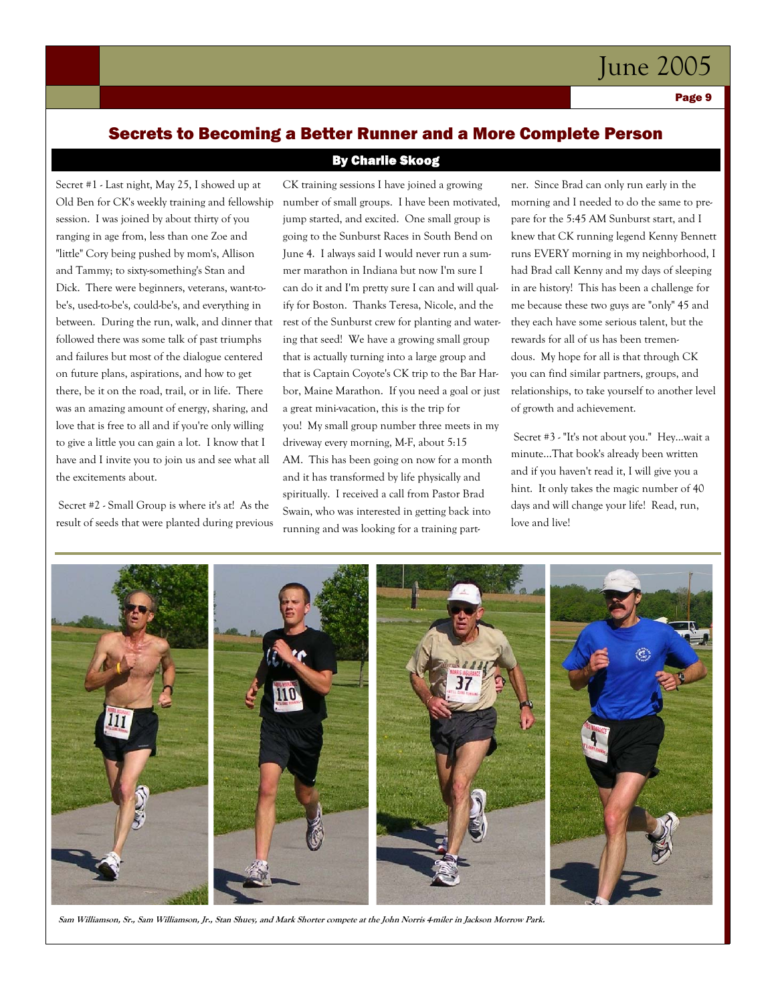Page 9

# Secrets to Becoming a Better Runner and a More Complete Person By Charlie Skoog

Secret #1 - Last night, May 25, I showed up at Old Ben for CK's weekly training and fellowship session. I was joined by about thirty of you ranging in age from, less than one Zoe and "little" Cory being pushed by mom's, Allison and Tammy; to sixty-something's Stan and Dick. There were beginners, veterans, want-tobe's, used-to-be's, could-be's, and everything in between. During the run, walk, and dinner that followed there was some talk of past triumphs and failures but most of the dialogue centered on future plans, aspirations, and how to get there, be it on the road, trail, or in life. There was an amazing amount of energy, sharing, and love that is free to all and if you're only willing to give a little you can gain a lot. I know that I have and I invite you to join us and see what all the excitements about.

 Secret #2 - Small Group is where it's at! As the result of seeds that were planted during previous

CK training sessions I have joined a growing number of small groups. I have been motivated, jump started, and excited. One small group is going to the Sunburst Races in South Bend on June 4. I always said I would never run a summer marathon in Indiana but now I'm sure I can do it and I'm pretty sure I can and will qualify for Boston. Thanks Teresa, Nicole, and the rest of the Sunburst crew for planting and watering that seed! We have a growing small group that is actually turning into a large group and that is Captain Coyote's CK trip to the Bar Harbor, Maine Marathon. If you need a goal or just a great mini-vacation, this is the trip for you! My small group number three meets in my driveway every morning, M-F, about 5:15 AM. This has been going on now for a month and it has transformed by life physically and

spiritually. I received a call from Pastor Brad Swain, who was interested in getting back into running and was looking for a training partner. Since Brad can only run early in the morning and I needed to do the same to prepare for the 5:45 AM Sunburst start, and I knew that CK running legend Kenny Bennett runs EVERY morning in my neighborhood, I had Brad call Kenny and my days of sleeping in are history! This has been a challenge for me because these two guys are "only" 45 and they each have some serious talent, but the rewards for all of us has been tremendous. My hope for all is that through CK you can find similar partners, groups, and relationships, to take yourself to another level of growth and achievement.

 Secret #3 - "It's not about you." Hey...wait a minute...That book's already been written and if you haven't read it, I will give you a hint. It only takes the magic number of 40 days and will change your life! Read, run, love and live!



**Sam Williamson, Sr., Sam Williamson, Jr., Stan Shuey, and Mark Shorter compete at the John Norris 4-miler in Jackson Morrow Park.**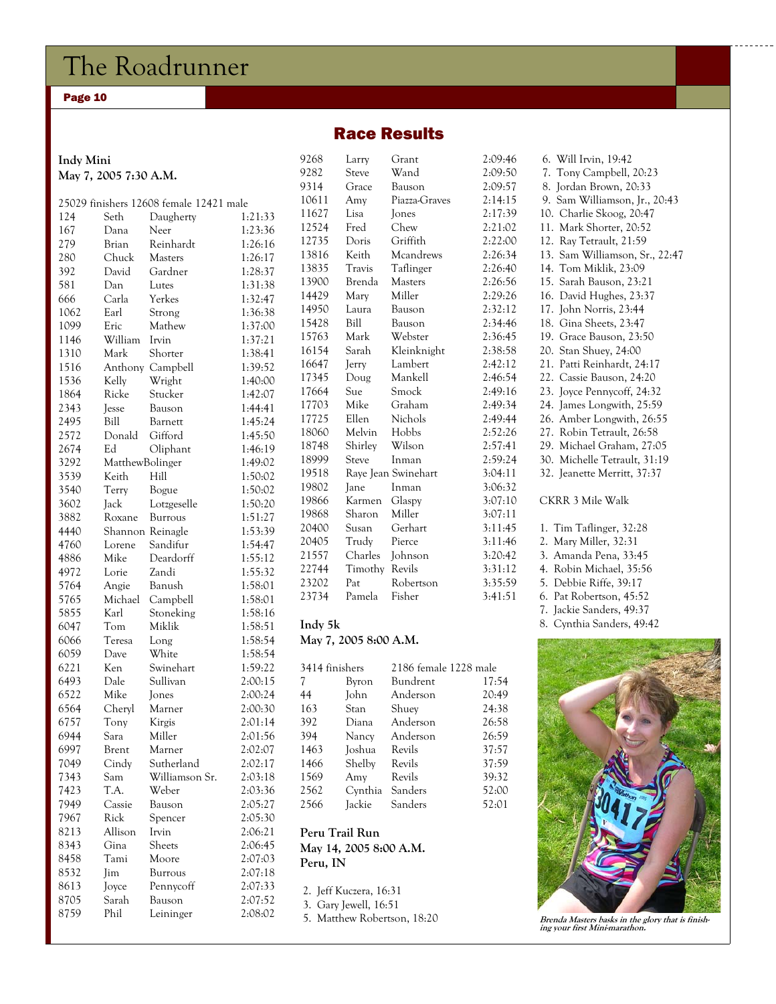#### Page 10

### Race Results

| Indy Mini<br>May 7, 2005 7:30 A.M. |                 |                                         |                    |  |
|------------------------------------|-----------------|-----------------------------------------|--------------------|--|
|                                    |                 | 25029 finishers 12608 female 12421 male |                    |  |
| 124                                | Seth            | Daugherty                               | 1:21:33            |  |
| 167                                | Dana            | Neer                                    | 1:23:36            |  |
| 279                                | Brian           | Reinhardt                               | 1:26:16            |  |
| 280                                | Chuck           | Masters                                 | 1:26:17            |  |
| 392                                | David           | Gardner                                 | 1:28:37            |  |
| 581                                | Dan             | Lutes                                   | 1:31:38            |  |
| 666                                | Carla           | Yerkes                                  | 1:32:47            |  |
| 1062                               | Earl            | Strong                                  | 1:36:38            |  |
| 1099                               | Eric            | Mathew                                  | 1:37:00            |  |
| 1146                               | William         | Irvin                                   | 1:37:21            |  |
| 1310                               | Mark            | Shorter                                 | 1:38:41            |  |
| 1516                               | Anthony         | Campbell                                | 1:39:52            |  |
| 1536                               | Kelly           | Wright                                  | 1:40:00            |  |
| 1864                               | Ricke           | Stucker                                 | 1:42:07            |  |
| 2343                               | <b>Jesse</b>    | Bauson                                  | 1:44:41            |  |
| 2495                               | Bill            | Barnett                                 | 1:45:24            |  |
| 2572                               | Donald          | Gifford                                 | 1:45:50            |  |
| 2674                               | Ed              |                                         | 1:46:19            |  |
| 3292                               | MatthewBolinger | Oliphant                                | 1:49:02            |  |
| 3539                               |                 | Hill                                    | 1:50:02            |  |
|                                    | Keith           |                                         | 1:50:02            |  |
| 3540                               | Terry           | Bogue                                   |                    |  |
| 3602<br>3882                       | Jack<br>Roxane  | Lotzgeselle                             | 1:50:20<br>1:51:27 |  |
|                                    |                 | Burrous                                 | 1:53:39            |  |
| 4440                               | Shannon         | Reinagle<br>Sandifur                    |                    |  |
| 4760<br>4886                       | Lorene<br>Mike  | Deardorff                               | 1:54:47            |  |
| 4972                               | Lorie           | Zandi                                   | 1:55:12<br>1:55:32 |  |
| 5764                               | Angie           | Banush                                  | 1:58:01            |  |
| 5765                               | Michael         | Campbell                                | 1:58:01            |  |
| 5855                               | Karl            | Stoneking                               | 1:58:16            |  |
| 6047                               | Tom             | Miklik                                  | 1:58:51            |  |
| 6066                               | Teresa          | Long                                    | 1:58:54            |  |
| 6059                               | Dave            | White                                   | 1:58:54            |  |
| 6221                               | Ken             | Swinehart                               | 1:59:22            |  |
| 6493                               | Dale            | Sullivan                                | 2:00:15            |  |
| 6522                               | Mike            | <b>Jones</b>                            | 2:00:24            |  |
| 6564                               | Cheryl          | Marner                                  | 2:00:30            |  |
| 6757                               | Tony            | Kirgis                                  | 2:01:14            |  |
| 6944                               | Sara            | Miller                                  | 2:01:56            |  |
| 6997                               | Brent           | Marner                                  | 2:02:07            |  |
| 7049                               | Cindy           | Sutherland                              | 2:02:17            |  |
| 7343                               | Sam             | Williamson Sr.                          | 2:03:18            |  |
| 7423                               | T.A.            | Weber                                   | 2:03:36            |  |
| 7949                               | Cassie          | Bauson                                  | 2:05:27            |  |
| 7967                               | Rick            | Spencer                                 | 2:05:30            |  |
| 8213                               | Allison         | Irvin                                   | 2:06:21            |  |
| 8343                               | Gina            | Sheets                                  | 2:06:45            |  |
| 8458                               | Tami            | Moore                                   | 2:07:03            |  |
| 8532                               | Jim             | Burrous                                 | 2:07:18            |  |
| 8613                               | Joyce           | Pennycoff                               | 2:07:33            |  |
| 8705                               | Sarah           | Bauson                                  | 2:07:52            |  |
| 8759                               | Phil            | Leininger                               | 2:08:02            |  |
|                                    |                 |                                         |                    |  |

| 9268    | Larry   | Grant               | 2:09:46 |
|---------|---------|---------------------|---------|
| 9282    | Steve   | Wand                | 2:09:50 |
| 9314    | Grace   | Bauson              | 2:09:57 |
| 10611   | Amy     | Piazza-Graves       | 2:14:15 |
| 11627   | Lisa    | Jones               | 2:17:39 |
| 12524   | Fred    | Chew                | 2:21:02 |
| 12735   | Doris   | Griffith            | 2:22:00 |
| 13816   | Keith   | Mcandrews           | 2:26:34 |
| 13835   | Travis  | Taflinger           | 2:26:40 |
| 13900   | Brenda  | <b>Masters</b>      | 2:26:56 |
| 14429   | Mary    | Miller              | 2:29:26 |
| 14950   | Laura   | Bauson              | 2:32:12 |
| 15428   | Bill    | Bauson              | 2:34:46 |
| 15763   | Mark    | Webster             | 2:36:45 |
| 16154   | Sarah   | Kleinknight         | 2:38:58 |
| 16647   | Jerry   | Lambert             | 2:42:12 |
| 17345   | Doug    | Mankell             | 2:46:54 |
| 17664   | Sue     | Smock               | 2:49:16 |
| 17703   | Mike    | Graham              | 2:49:34 |
| 17725   | Ellen   | Nichols             | 2:49:44 |
| 18060   | Melvin  | Hobbs               | 2:52:26 |
| 18748   | Shirley | Wilson              | 2:57:41 |
| 18999   | Steve   | Inman               | 2:59:24 |
| 19518   |         | Raye Jean Swinehart | 3:04:11 |
| 19802   | Jane    | Inman               | 3:06:32 |
| 19866   | Karmen  | Glaspy              | 3:07:10 |
| 19868   | Sharon  | Miller              | 3:07:11 |
| 20400   | Susan   | Gerhart             | 3:11:45 |
| 20405   | Trudy   | Pierce              | 3:11:46 |
| 21557   | Charles | Johnson             | 3:20:42 |
| 22744   | Timothy | Revils              | 3:31:12 |
| 23202   | Pat     | Robertson           | 3:35:59 |
| 23734   | Pamela  | Fisher              | 3:41:51 |
| Indy 5k |         |                     |         |

### **May 7, 2005 8:00 A.M.**

| 3414 finishers |         | 2186 female 1228 male |       |  |
|----------------|---------|-----------------------|-------|--|
| 7              | Byron   | Bundrent              | 17:54 |  |
| 44             | John    | Anderson              | 20:49 |  |
| 163            | Stan    | Shuev                 | 24:38 |  |
| 392            | Diana   | Anderson              | 26:58 |  |
| 394            | Nancy   | Anderson              | 26:59 |  |
| 1463           | Joshua  | Revils                | 37:57 |  |
| 1466           | Shelby  | Revils                | 37:59 |  |
| 1569           | Amy     | Revils                | 39:32 |  |
| 2562           | Cynthia | Sanders               | 52:00 |  |
| 2566           | Jackie  | Sanders               | 52:01 |  |
|                |         |                       |       |  |

#### **Peru Trail Run May 14, 2005 8:00 A.M. Peru, IN**

|  | 2. Jeff Kuczera, 16:31     |  |
|--|----------------------------|--|
|  | 3. Gary Jewell, 16:51      |  |
|  | $5$ Motthow Robertson 18.7 |  |

5. Matthew Robertson, 18:20

| 6. Will Irvin, 19:42           |
|--------------------------------|
| 7. Tony Campbell, 20:23        |
| 8. Jordan Brown, 20:33         |
| 9. Sam Williamson, Jr., 20:43  |
| 10. Charlie Skoog, 20:47       |
| 11. Mark Shorter, 20:52        |
| 12. Ray Tetrault, 21:59        |
| 13. Sam Williamson, Sr., 22:47 |
| 14. Tom Miklik, 23:09          |
| 15. Sarah Bauson, 23:21        |
| 16. David Hughes, 23:37        |
| 17. John Norris, 23:44         |
| 18. Gina Sheets, 23:47         |
| 19. Grace Bauson, 23:50        |
| 20. Stan Shuey, 24:00          |
| 21. Patti Reinhardt, 24:17     |
| 22. Cassie Bauson, 24:20       |
| 23. Joyce Pennycoff, 24:32     |
| 24. James Longwith, 25:59      |
| 26. Amber Longwith, 26:55      |
| 27. Robin Tetrault, 26:58      |
| 29. Michael Graham, 27:05      |
| 30. Michelle Tetrault, 31:19   |
| 32. Jeanette Merritt, 37:37    |
| CKRR 3 Mile Walk               |

- 1. Tim Taflinger, 32:28
- 2. Mary Miller, 32:31
- 3. Amanda Pena, 33:45
- 4. Robin Michael, 35:56
- 5. Debbie Riffe, 39:17
- 6. Pat Robertson, 45:52
- 7. Jackie Sanders, 49:37
- 8. Cynthia Sanders, 49:42



**Brenda Masters basks in the glory that is finish-ing your first Mini-marathon.**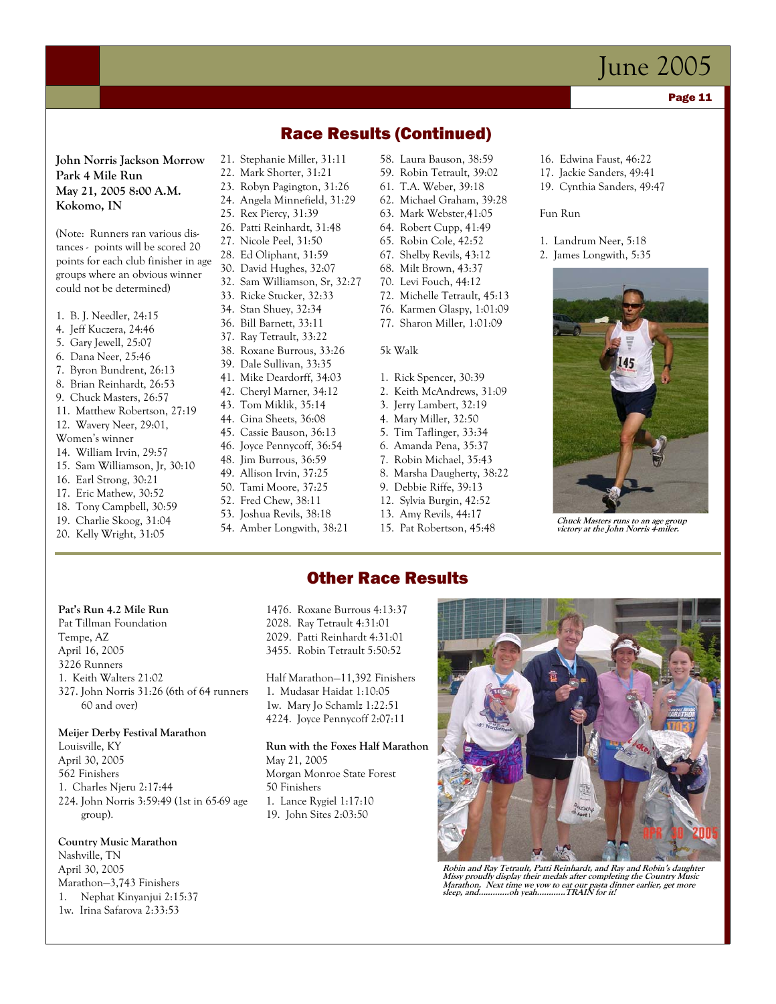#### Page 11

**John Norris Jackson Morrow Park 4 Mile Run May 21, 2005 8:00 A.M. Kokomo, IN** 

(Note: Runners ran various distances - points will be scored 20 points for each club finisher in age groups where an obvious winner could not be determined)

- 1. B. J. Needler, 24:15
- 4. Jeff Kuczera, 24:46
- 5. Gary Jewell, 25:07
- 6. Dana Neer, 25:46
- 7. Byron Bundrent, 26:13
- 8. Brian Reinhardt, 26:53
- 9. Chuck Masters, 26:57 11. Matthew Robertson, 27:19
- 12. Wavery Neer, 29:01,
- Women's winner
- 14. William Irvin, 29:57
- 15. Sam Williamson, Jr, 30:10
- 16. Earl Strong, 30:21
- 17. Eric Mathew, 30:52
- 18. Tony Campbell, 30:59
- 19. Charlie Skoog, 31:04
- 20. Kelly Wright, 31:05

21. Stephanie Miller, 31:11 58. Laura Bauson, 38:59

- 22. Mark Shorter, 31:21
- 23. Robyn Pagington, 31:26 24. Angela Minnefield, 31:29
- 25. Rex Piercy, 31:39
- 26. Patti Reinhardt, 31:48
- 27. Nicole Peel, 31:50
- 28. Ed Oliphant, 31:59
- 30. David Hughes, 32:07
- 32. Sam Williamson, Sr, 32:27
- 33. Ricke Stucker, 32:33
- 34. Stan Shuey, 32:34
- 36. Bill Barnett, 33:11
- 37. Ray Tetrault, 33:22
- 38. Roxane Burrous, 33:26
- 39. Dale Sullivan, 33:35
- 41. Mike Deardorff, 34:03
- 42. Cheryl Marner, 34:12
- 43. Tom Miklik, 35:14
- 44. Gina Sheets, 36:08
- 45. Cassie Bauson, 36:13
- 46. Joyce Pennycoff, 36:54 48. Jim Burrous, 36:59
- 49. Allison Irvin, 37:25
- 50. Tami Moore, 37:25
- 52. Fred Chew, 38:11
- 53. Joshua Revils, 38:18
- 54. Amber Longwith, 38:21

59. Robin Tetrault, 39:02 61. T.A. Weber, 39:18

Race Results (Continued)

- 62. Michael Graham, 39:28
- 63. Mark Webster,41:05
- 64. Robert Cupp, 41:49
- 65. Robin Cole, 42:52
- 67. Shelby Revils, 43:12
- 68. Milt Brown, 43:37
- 70. Levi Fouch, 44:12
- 72. Michelle Tetrault, 45:13
- 76. Karmen Glaspy, 1:01:09
- 77. Sharon Miller, 1:01:09
- 5k Walk
- 1. Rick Spencer, 30:39
- 2. Keith McAndrews, 31:09
- 3. Jerry Lambert, 32:19
- 4. Mary Miller, 32:50
- 5. Tim Taflinger, 33:34
- 6. Amanda Pena, 35:37
- 7. Robin Michael, 35:43
- 8. Marsha Daugherty, 38:22
- 9. Debbie Riffe, 39:13
- 12. Sylvia Burgin, 42:52
- 
- 
- 
- 
- 
- 
- 
- 
- 
- 
- 
- 13. Amy Revils, 44:17
- 15. Pat Robertson, 45:48

Other Race Results

- 16. Edwina Faust, 46:22
- 17. Jackie Sanders, 49:41
- 19. Cynthia Sanders, 49:47

Fun Run

- 1. Landrum Neer, 5:18
- 2. James Longwith, 5:35



**Chuck Masters runs to an age group victory at the John Norris 4-miler.** 

#### **Pat's Run 4.2 Mile Run**

Pat Tillman Foundation Tempe, AZ April 16, 2005 3226 Runners 1. Keith Walters 21:02 327. John Norris 31:26 (6th of 64 runners 60 and over)

#### **Meijer Derby Festival Marathon**

Louisville, KY April 30, 2005 562 Finishers 1. Charles Njeru 2:17:44 224. John Norris 3:59:49 (1st in 65-69 age group).

#### **Country Music Marathon**

Nashville, TN April 30, 2005 Marathon—3,743 Finishers 1. Nephat Kinyanjui 2:15:37 1w. Irina Safarova 2:33:53

1476. Roxane Burrous 4:13:37 2028. Ray Tetrault 4:31:01 2029. Patti Reinhardt 4:31:01 3455. Robin Tetrault 5:50:52

Half Marathon—11,392 Finishers 1. Mudasar Haidat 1:10:05 1w. Mary Jo Schamlz 1:22:51 4224. Joyce Pennycoff 2:07:11

**Run with the Foxes Half Marathon**  May 21, 2005 Morgan Monroe State Forest 50 Finishers 1. Lance Rygiel 1:17:10 19. John Sites 2:03:50



**Robin and Ray Tetrault, Patti Reinhardt, and Ray and Robin's daughter Missy proudly display their medals after completing the Country Music Marathon. Next time we vow to eat our pasta dinner earlier, get more sleep, and………….oh yeah………...TRAIN for it!**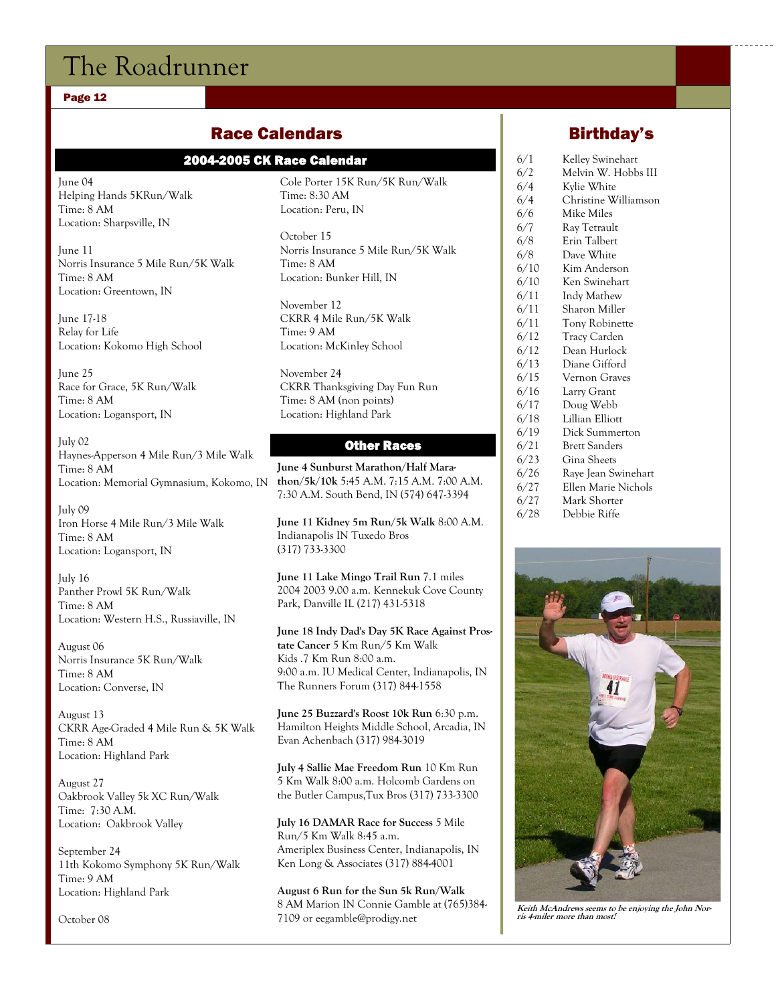#### Page 12

# Race Calendars

### 2004-2005 CK Race Calendar

June 04 Helping Hands 5KRun/Walk Time: 8 AM Location: Sharpsville, IN

June 11 Norris Insurance 5 Mile Run/5K Walk Time: 8 AM Location: Greentown, IN

June 17-18 Relay for Life Location: Kokomo High School

June 25 Race for Grace, 5K Run/Walk Time: 8 AM Location: Logansport, IN

July 02 Haynes-Apperson 4 Mile Run/3 Mile Walk Time: 8 AM Location: Memorial Gymnasium, Kokomo, IN

July 09 Iron Horse 4 Mile Run/3 Mile Walk Time: 8 AM Location: Logansport, IN

July 16 Panther Prowl 5K Run/Walk Time: 8 AM Location: Western H.S., Russiaville, IN

August 06 Norris Insurance 5K Run/Walk Time: 8 AM Location: Converse, IN

August 13 CKRR Age-Graded 4 Mile Run & 5K Walk Time: 8 AM Location: Highland Park

August 27 Oakbrook Valley 5k XC Run/Walk Time: 7:30 A.M. Location: Oakbrook Valley

September 24 11th Kokomo Symphony 5K Run/Walk Time: 9 AM Location: Highland Park

October 08

Cole Porter 15K Run/5K Run/Walk Time: 8:30 AM Location: Peru, IN

October 15 Norris Insurance 5 Mile Run/5K Walk Time: 8 AM Location: Bunker Hill, IN

November 12 CKRR 4 Mile Run/5K Walk Time: 9 AM Location: McKinley School

November 24 CKRR Thanksgiving Day Fun Run Time: 8 AM (non points) Location: Highland Park

#### Other Races

**June 4 Sunburst Marathon/Half Marathon/5k/10k** 5:45 A.M. 7:15 A.M. 7:00 A.M. 7:30 A.M. South Bend, IN (574) 647-3394

**June 11 Kidney 5m Run/5k Walk** 8:00 A.M. Indianapolis IN Tuxedo Bros (317) 733-3300

**June 11 Lake Mingo Trail Run** 7.1 miles 2004 2003 9.00 a.m. Kennekuk Cove County Park, Danville IL (217) 431-5318

**June 18 Indy Dad's Day 5K Race Against Prostate Cancer** 5 Km Run/5 Km Walk Kids .7 Km Run 8:00 a.m. 9:00 a.m. IU Medical Center, Indianapolis, IN The Runners Forum (317) 844-1558

**June 25 Buzzard's Roost 10k Run** 6:30 p.m. Hamilton Heights Middle School, Arcadia, IN Evan Achenbach (317) 984-3019

**July 4 Sallie Mae Freedom Run** 10 Km Run 5 Km Walk 8:00 a.m. Holcomb Gardens on the Butler Campus,Tux Bros (317) 733-3300

**July 16 DAMAR Race for Success** 5 Mile Run/5 Km Walk 8:45 a.m. Ameriplex Business Center, Indianapolis, IN Ken Long & Associates (317) 884-4001

**August 6 Run for the Sun 5k Run/Walk**  8 AM Marion IN Connie Gamble at (765)384- 7109 or eegamble@prodigy.net

### Birthday's

- 6/1 Kelley Swinehart
- 6/2 Melvin W. Hobbs III 6/4 Kylie White
- 6/4 Christine Williamson
- 6/6 Mike Miles
- 6/7 Ray Tetrault
- 6/8 Erin Talbert
- 6/8 Dave White
- 6/10 Kim Anderson
- 6/10 Ken Swinehart
- 6/11 Indy Mathew
- 6/11 Sharon Miller
- 6/11 Tony Robinette 6/12 Tracy Carden
- 6/12 Dean Hurlock
- 6/13 Diane Gifford
- 6/15 Vernon Graves
- 6/16 Larry Grant
- 6/17 Doug Webb
- 6/18 Lillian Elliott
- 6/19 Dick Summerton
- 6/21 Brett Sanders
- 6/23 Gina Sheets
- 6/26 Raye Jean Swinehart
- 6/27 Ellen Marie Nichols
- 6/27 Mark Shorter 6/28 Debbie Riffe
	-



**Keith McAndrews seems to be enjoying the John Nor-ris 4-miler more than most!**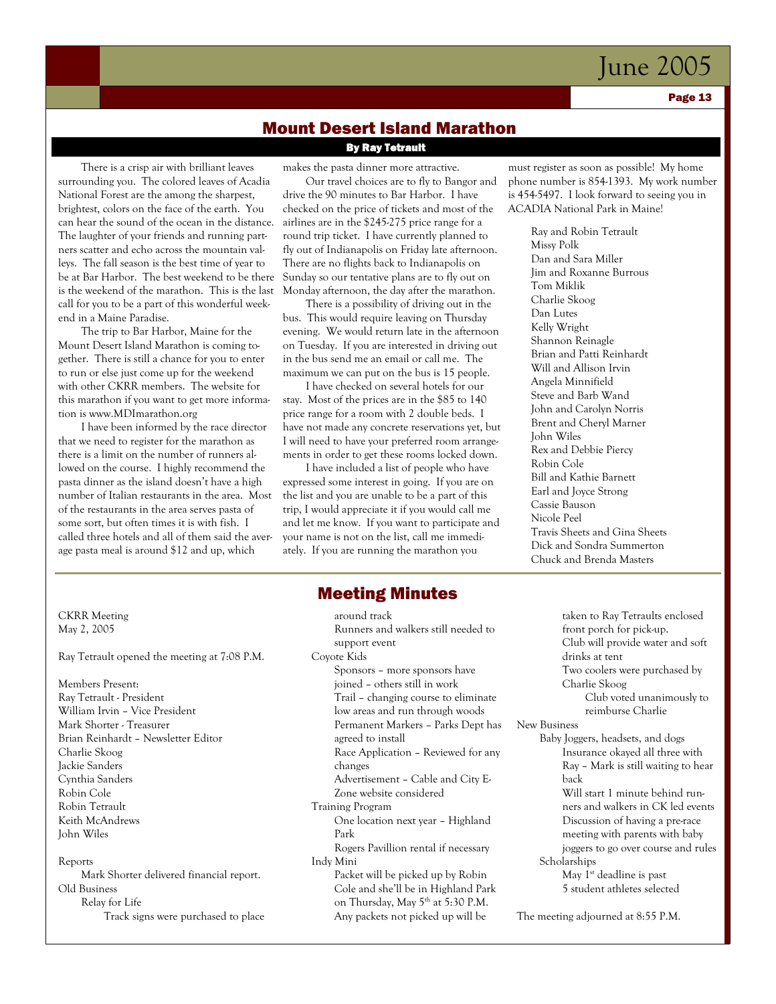Page 13

### Mount Desert Island Marathon

### By Ray Tetrault

There is a crisp air with brilliant leaves surrounding you. The colored leaves of Acadia National Forest are the among the sharpest, brightest, colors on the face of the earth. You can hear the sound of the ocean in the distance. The laughter of your friends and running partners scatter and echo across the mountain valleys. The fall season is the best time of year to be at Bar Harbor. The best weekend to be there is the weekend of the marathon. This is the last call for you to be a part of this wonderful weekend in a Maine Paradise.

The trip to Bar Harbor, Maine for the Mount Desert Island Marathon is coming together. There is still a chance for you to enter to run or else just come up for the weekend with other CKRR members. The website for this marathon if you want to get more information is www.MDImarathon.org

I have been informed by the race director that we need to register for the marathon as there is a limit on the number of runners allowed on the course. I highly recommend the pasta dinner as the island doesn't have a high number of Italian restaurants in the area. Most of the restaurants in the area serves pasta of some sort, but often times it is with fish. I called three hotels and all of them said the average pasta meal is around \$12 and up, which

makes the pasta dinner more attractive.

Our travel choices are to fly to Bangor and drive the 90 minutes to Bar Harbor. I have checked on the price of tickets and most of the airlines are in the \$245-275 price range for a round trip ticket. I have currently planned to fly out of Indianapolis on Friday late afternoon. There are no flights back to Indianapolis on Sunday so our tentative plans are to fly out on Monday afternoon, the day after the marathon.

There is a possibility of driving out in the bus. This would require leaving on Thursday evening. We would return late in the afternoon on Tuesday. If you are interested in driving out in the bus send me an email or call me. The maximum we can put on the bus is 15 people.

I have checked on several hotels for our stay. Most of the prices are in the \$85 to 140 price range for a room with 2 double beds. I have not made any concrete reservations yet, but I will need to have your preferred room arrangements in order to get these rooms locked down.

I have included a list of people who have expressed some interest in going. If you are on the list and you are unable to be a part of this trip, I would appreciate it if you would call me and let me know. If you want to participate and your name is not on the list, call me immediately. If you are running the marathon you

### Meeting Minutes

 around track Runners and walkers still needed to support event Coyote Kids Sponsors – more sponsors have joined – others still in work Trail – changing course to eliminate low areas and run through woods Permanent Markers – Parks Dept has agreed to install Race Application – Reviewed for any changes Advertisement – Cable and City E- Zone website considered Training Program One location next year – Highland Park Rogers Pavillion rental if necessary Indy Mini Packet will be picked up by Robin Cole and she'll be in Highland Park on Thursday, May 5<sup>th</sup> at 5:30 P.M. Any packets not picked up will be

must register as soon as possible! My home phone number is 854-1393. My work number is 454-5497. I look forward to seeing you in ACADIA National Park in Maine!

> Ray and Robin Tetrault Missy Polk Dan and Sara Miller Jim and Roxanne Burrous Tom Miklik Charlie Skoog Dan Lutes Kelly Wright Shannon Reinagle Brian and Patti Reinhardt Will and Allison Irvin Angela Minnifield Steve and Barb Wand John and Carolyn Norris Brent and Cheryl Marner John Wiles Rex and Debbie Piercy Robin Cole Bill and Kathie Barnett Earl and Joyce Strong Cassie Bauson Nicole Peel Travis Sheets and Gina Sheets Dick and Sondra Summerton Chuck and Brenda Masters

CKRR Meeting May 2, 2005

Ray Tetrault opened the meeting at 7:08 P.M.

Members Present: Ray Tetrault - President William Irvin – Vice President Mark Shorter - Treasurer Brian Reinhardt – Newsletter Editor Charlie Skoog Jackie Sanders Cynthia Sanders Robin Cole Robin Tetrault Keith McAndrews John Wiles

#### Reports

Mark Shorter delivered financial report. Old Business Relay for Life Track signs were purchased to place

taken to Ray Tetraults enclosed front porch for pick-up. Club will provide water and soft drinks at tent Two coolers were purchased by Charlie Skoog Club voted unanimously to reimburse Charlie New Business Baby Joggers, headsets, and dogs Insurance okayed all three with Ray – Mark is still waiting to hear back Will start 1 minute behind runners and walkers in CK led events Discussion of having a pre-race meeting with parents with baby joggers to go over course and rules Scholarships May 1<sup>st</sup> deadline is past 5 student athletes selected

The meeting adjourned at 8:55 P.M.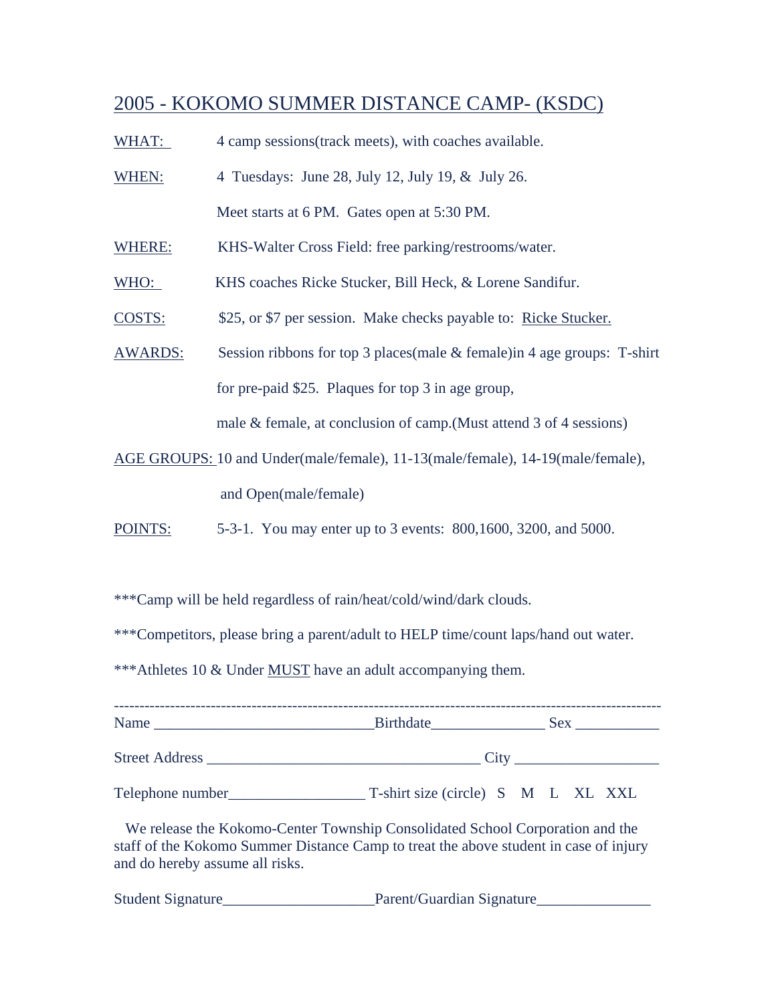# 2005 - KOKOMO SUMMER DISTANCE CAMP- (KSDC)

- WHAT: 4 camp sessions (track meets), with coaches available.
- WHEN: 4 Tuesdays: June 28, July 12, July 19, & July 26. Meet starts at 6 PM. Gates open at 5:30 PM.
- WHERE: KHS-Walter Cross Field: free parking/restrooms/water.
- WHO: KHS coaches Ricke Stucker, Bill Heck, & Lorene Sandifur.
- COSTS: \$25, or \$7 per session. Make checks payable to: Ricke Stucker.
- AWARDS: Session ribbons for top 3 places(male & female)in 4 age groups: T-shirt for pre-paid \$25. Plaques for top 3 in age group,

male & female, at conclusion of camp.(Must attend 3 of 4 sessions)

- AGE GROUPS: 10 and Under(male/female), 11-13(male/female), 14-19(male/female), and Open(male/female)
- POINTS: 5-3-1. You may enter up to 3 events: 800,1600, 3200, and 5000.

\*\*\*Camp will be held regardless of rain/heat/cold/wind/dark clouds.

\*\*\*Competitors, please bring a parent/adult to HELP time/count laps/hand out water.

\*\*\*Athletes 10 & Under MUST have an adult accompanying them.

|                                                                                                                                                                                                           | Birthdate Sex Sex                  |  |  |  |  |
|-----------------------------------------------------------------------------------------------------------------------------------------------------------------------------------------------------------|------------------------------------|--|--|--|--|
|                                                                                                                                                                                                           |                                    |  |  |  |  |
| Telephone number                                                                                                                                                                                          | T-shirt size (circle) S M L XL XXL |  |  |  |  |
| We release the Kokomo-Center Township Consolidated School Corporation and the<br>staff of the Kokomo Summer Distance Camp to treat the above student in case of injury<br>and do hereby assume all risks. |                                    |  |  |  |  |

Student Signature\_\_\_\_\_\_\_\_\_\_\_\_\_\_\_\_\_\_\_\_Parent/Guardian Signature\_\_\_\_\_\_\_\_\_\_\_\_\_\_\_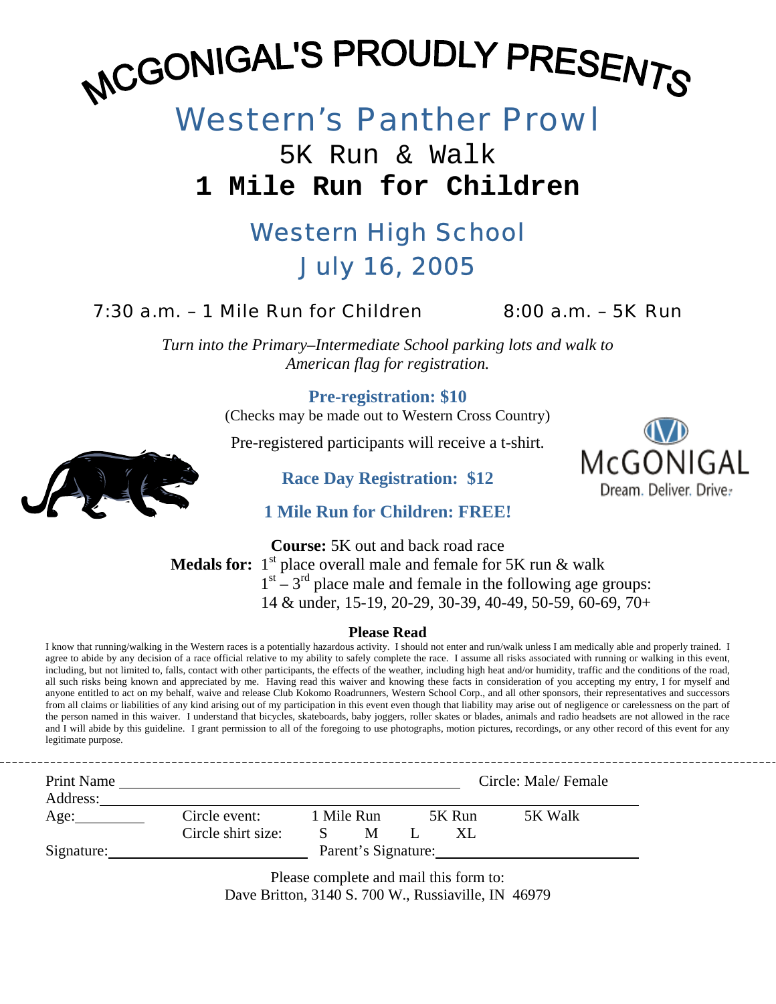# MCGONIGAL'S PROUDLY PRESENTS

# Western's Panther Prowl

# 5K Run & Walk **1 Mile Run for Children**

# Western High School July 16, 2005

# $7:30$  a.m.  $-1$  Mile Run for Children  $8:00$  a.m.  $-5K$  Run

*Turn into the Primary–Intermediate School parking lots and walk to American flag for registration.* 

# **Pre-registration: \$10**

(Checks may be made out to Western Cross Country)

Pre-registered participants will receive a t-shirt.

McGONIGAL Dream. Deliver. Driver

--------------------



**Race Day Registration: \$12** 

**1 Mile Run for Children: FREE!** 

**Course:** 5K out and back road race **Medals for:**  $1^{st}$  place overall male and female for 5K run  $\&$  walk  $1<sup>st</sup> - 3<sup>rd</sup>$  place male and female in the following age groups: 14 & under, 15-19, 20-29, 30-39, 40-49, 50-59, 60-69, 70+

### **Please Read**

I know that running/walking in the Western races is a potentially hazardous activity. I should not enter and run/walk unless I am medically able and properly trained. I agree to abide by any decision of a race official relative to my ability to safely complete the race. I assume all risks associated with running or walking in this event, including, but not limited to, falls, contact with other participants, the effects of the weather, including high heat and/or humidity, traffic and the conditions of the road, all such risks being known and appreciated by me. Having read this waiver and knowing these facts in consideration of you accepting my entry, I for myself and anyone entitled to act on my behalf, waive and release Club Kokomo Roadrunners, Western School Corp., and all other sponsors, their representatives and successors from all claims or liabilities of any kind arising out of my participation in this event even though that liability may arise out of negligence or carelessness on the part of the person named in this waiver. I understand that bicycles, skateboards, baby joggers, roller skates or blades, animals and radio headsets are not allowed in the race and I will abide by this guideline. I grant permission to all of the foregoing to use photographs, motion pictures, recordings, or any other record of this event for any legitimate purpose.

| Print Name<br>Address: |                    |                     |        | Circle: Male/Female |
|------------------------|--------------------|---------------------|--------|---------------------|
| Age:                   | Circle event:      | 1 Mile Run          | 5K Run | 5K Walk             |
|                        | Circle shirt size: | M                   |        |                     |
| Signature:             |                    | Parent's Signature: |        |                     |

Please complete and mail this form to: Dave Britton, 3140 S. 700 W., Russiaville, IN 46979